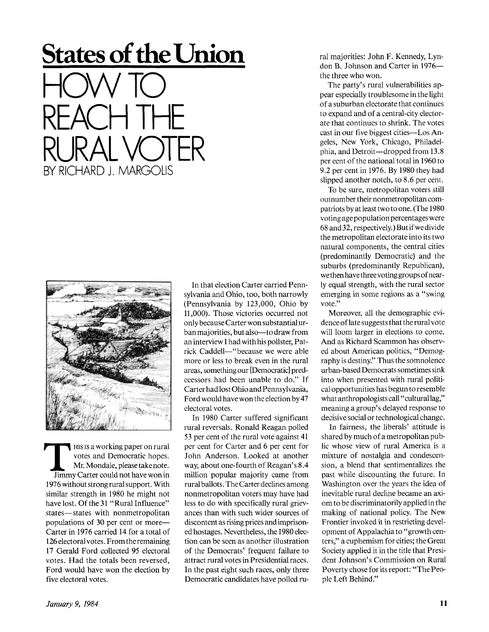## *January 9, 1984* **11**

**T**<br>Jimmy HIS IS a working paper on rural votes and Democratic hopes. Mr. Mondale, please take note. Jimmy Carter could not have won in 1976 without strong rural support. With similar strength in 1980 he might not have lost. Of the 31 "Rural Influence" states—states with nonmetropolitan populations of 30 per cent or more— Carter in 1976 carried 14 for a total of 126 electoral votes. From the remaining 17 Gerald Ford collected 95 electoral votes. Had the totals been reversed, Ford would have won the election by five electoral votes.

In that election Carter carried Pennsylvania and Ohio, too, both narrowly (Pennsylvania by 123,000, Ohio by 11,000). Those victories occurred not only because Carter won substantial urban majorities, but also—to draw from an interview I had with his pollster, Patrick Caddell—"because we were able more or less to break even in the rural areas, something our [Democratic] predecessors had been unable to do." If Carter had lost Ohio and Pennsylvania, Ford would have won the election by 47 electoral votes.

In 1980 Carter suffered significant rural reversals. Ronald Reagan polled 53 per cent of the rural vote against 41 per cent for Carter and 6 per cent for John Anderson. Looked at another way, about one-fourth of Reagan's 8.4 million popular majority came from rural ballots. The Carter declines among nonmetropolitan voters may have had less to do with specifically rural grievances than with such wider sources of discontent as rising prices and imprisoned hostages. Nevertheless, the 1980 election can be seen as another illustration of the Democrats' frequent failure to attract rural votes in Presidential races. In the past eight such races, only three Democratic candidates have polled rural majorities: John F. Kennedy, Lyndon B. Johnson and Carter in 1976 the three who won.

The party's rural vulnerabilities appear especially troublesome in the light of a suburban electorate that continues to expand and of a central-city electorate that continues to shrink. The votes cast in our five biggest cities—Los Angeles, New York, Chicago, Philadelphia, and Detroit—dropped from 13.8 per cent of the national total in 1960 to 9.2 per cent in 1976. By 1980 they had slipped another notch, to 8.6 per cent.

To be sure, metropolitan voters still outnumber their nonmetropolitan compatriots by at least two to one. (The 1980 voting age population percentages were 68 and 32, respectively.) But if we divide the metropolitan electorate into its two natural components, the central cities (predominantly Democratic) and the suburbs (predominantly Republican), we then have three voting groups of nearly equal strength, with the rural sector emerging in some regions as a "swing vote."

Moreover, all the demographic evidence of late suggests that the rural vote will loom larger in elections to come. And as Richard Scammon has observed about American politics, "Demography is destiny." Thus the somnolence urban-based Democrats sometimes sink into when presented with rural political opportunities has begun to resemble what anthropologists call "cultural lag," meaning a group's delayed response to decisive social or technological change.

In fairness, the liberals' attitude is shared by much of a metropolitan public whose view of rural America is a mixture of nostalgia and condescension, a blend that sentimentalizes the past while discounting the future. In Washington over the years the idea of inevitable rural decline became an axiom to be discriminatorily applied in the making of national policy. The New Frontier invoked it in restricting development of Appalachia to "growth centers," a euphemism for cities; the Great Society applied it in the title that President Johnson's Commission on Rural Poverty chose for its report: "The People Left Behind."





**States of the Union** 

HCW TO

BY RICHARD J. MARGOLIS

REACH THE

RURAL VOTER